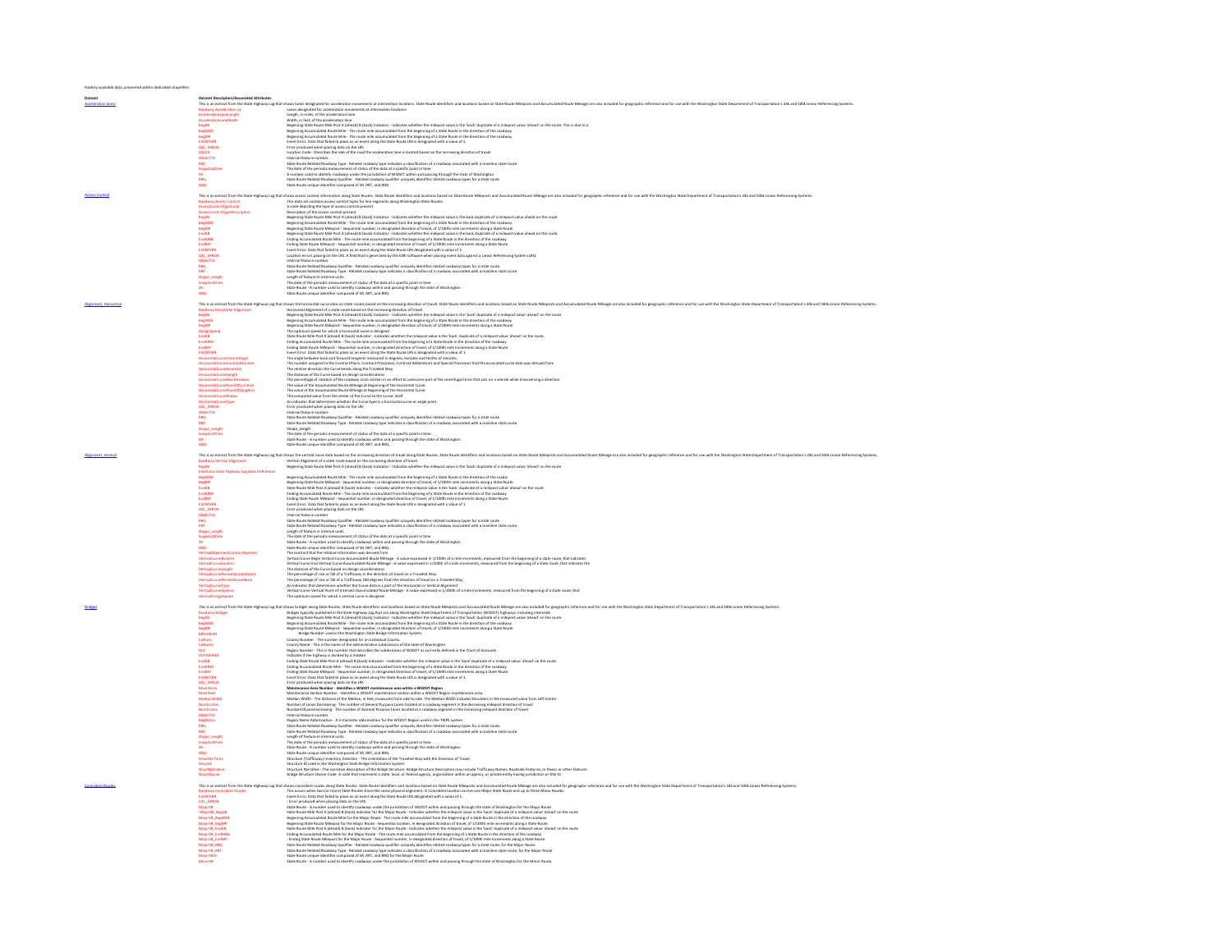| Dataset |                                                                                               |                                                                                                                                                                                                                                                                                                                                                        |
|---------|-----------------------------------------------------------------------------------------------|--------------------------------------------------------------------------------------------------------------------------------------------------------------------------------------------------------------------------------------------------------------------------------------------------------------------------------------------------------|
|         | <b>Dataset Description/Associated Attributes</b>                                              | This is an extract from the State Highway Log that shows lanes designated for acceleration movements at intersection locations. State Route identifiers and locations based on State Route Mileposts and Accumulated Route Mil                                                                                                                         |
|         | <b>Roadway Acceleration La</b>                                                                | Lanes designated for acceleration movements at intersection locations                                                                                                                                                                                                                                                                                  |
|         | AccelerationLaneLeneth                                                                        | Length, in miles, of the acceleration lane.<br>Width, in feet, of the acceleration lane                                                                                                                                                                                                                                                                |
|         |                                                                                               |                                                                                                                                                                                                                                                                                                                                                        |
|         |                                                                                               |                                                                                                                                                                                                                                                                                                                                                        |
|         |                                                                                               |                                                                                                                                                                                                                                                                                                                                                        |
|         |                                                                                               |                                                                                                                                                                                                                                                                                                                                                        |
|         | Acceleration<br>BegAB<br>BegARM<br>BegMP<br>EVENTERR<br>LOC_ERROR<br>LOCO                     | With, lend, of the accidential base<br>algorithm of the accident in the state of the state of the project value in the State displicited a milepost value theories. This is due to a<br>bigining State Kana Mike The road mile accur                                                                                                                   |
|         | LOCCO                                                                                         | Location Code - Describes the side of the road the acceleration lane is located based on the increasing direction of travel                                                                                                                                                                                                                            |
|         | OBJECTID<br><b>RRT</b>                                                                        | Internal feature number<br>State Route Related Roadway Type - Related roadway type indicates a classification of a roadway associated with a mainline state route.                                                                                                                                                                                     |
|         | SnapshotDate                                                                                  | The date of the periodic measurement of status of the data at a specific point in time.                                                                                                                                                                                                                                                                |
|         |                                                                                               |                                                                                                                                                                                                                                                                                                                                                        |
|         | RRO                                                                                           | . A number used to identify roadways under the jurisdiction of WSDOT within and passing through the state of Washington.<br>State Route Related Roadway Qualifier - Related roadway qualifier uniquely identifies related roadway                                                                                                                      |
|         |                                                                                               | State Route unique identifier composed of SR, RRT, and RRQ                                                                                                                                                                                                                                                                                             |
|         |                                                                                               |                                                                                                                                                                                                                                                                                                                                                        |
|         |                                                                                               | This is a estaction the State Highwy lag that shows accoss control intermal aboug base four State board interference of State board of State boards and Accordated four Milega are also included to grapplic reference and for                                                                                                                         |
|         |                                                                                               |                                                                                                                                                                                                                                                                                                                                                        |
|         | <b>AccessControlTypeDescription</b>                                                           |                                                                                                                                                                                                                                                                                                                                                        |
|         | BegAB                                                                                         | Decription of the access correl present<br>Beginning Statmlands Roussells (In The route mile communication the milepost where the back duplicate of a milepost value ahead on the route<br>Beginning Statmlands Rouss Mile The route                                                                                                                   |
|         | BegARM<br>BegMP                                                                               |                                                                                                                                                                                                                                                                                                                                                        |
|         | EndAB                                                                                         | .<br>Beginning State Route Mile Post A (ahead) B (back) Indicator - Indicates whether the milepost value is the back duplicate of a milepost value ahead on the route                                                                                                                                                                                  |
|         | EndARM                                                                                        |                                                                                                                                                                                                                                                                                                                                                        |
|         | EndMP                                                                                         |                                                                                                                                                                                                                                                                                                                                                        |
|         |                                                                                               |                                                                                                                                                                                                                                                                                                                                                        |
|         | ENGINE<br>LOC_ERROL<br>OBJECTID<br>RRQ<br>nRQ                                                 | Beginning Star Board Male Point A (1994) and Schwarzer-United workers for minor and the first displaced of a mileano characterized properties and the content of the content of the content of the content of the content of t                                                                                                                         |
|         |                                                                                               |                                                                                                                                                                                                                                                                                                                                                        |
|         | <b>RRT</b>                                                                                    | State Route Related Roadway Type - Related roadway type indicates a classification of a roadway associated with a mainline state route                                                                                                                                                                                                                 |
|         | Shape Length                                                                                  | Length of feature in internal units.                                                                                                                                                                                                                                                                                                                   |
|         | SnapshotDate                                                                                  | The date of the periodic measurement of status of the data at a specific point in time                                                                                                                                                                                                                                                                 |
|         | SRID                                                                                          | State Route - A number used to identify roadways within and passing through the state of Washington<br>State Route unique identifier composed of SR, RRT, and RRQ.                                                                                                                                                                                     |
|         |                                                                                               |                                                                                                                                                                                                                                                                                                                                                        |
|         |                                                                                               |                                                                                                                                                                                                                                                                                                                                                        |
|         |                                                                                               |                                                                                                                                                                                                                                                                                                                                                        |
|         |                                                                                               |                                                                                                                                                                                                                                                                                                                                                        |
|         |                                                                                               | This is a eduction the State Hybray lag that out the bubles that is a state notes be and in the search of the inclusion of the inclusion is the search of the inclusion is the bubles in the Marked of the inclusion is the bu                                                                                                                         |
|         |                                                                                               |                                                                                                                                                                                                                                                                                                                                                        |
|         | DesignSpeed<br>EndAB                                                                          | .<br>The optimum speed for which a horizontal curve is designed<br>State Route Mile Yout A (Alhead) B (back) Indicates - Indicates whether the milepost value is in the difference of a milepost value "ahead" on the route.<br>Ending                                                                                                                 |
|         | <b>EndARM</b><br>EndMP                                                                        |                                                                                                                                                                                                                                                                                                                                                        |
|         | <b>EVENTERR</b>                                                                               | Ending State Route Milepost - Sequential number, in designated direction of travel, of 1/100th mile increments along a State Route                                                                                                                                                                                                                     |
|         | HorizontalCurveCentralAnel                                                                    | crompt swar howe manapost - september interest, in one generate three controllers and the state of the state of<br>The angle between back and forward tangents measured in degrees minutes and tenth is orient of 1.<br>The number a                                                                                                                   |
|         | HorizontalCurveContractN                                                                      |                                                                                                                                                                                                                                                                                                                                                        |
|         |                                                                                               |                                                                                                                                                                                                                                                                                                                                                        |
|         | HorizontalCurveDirection<br>HorizontalCurveLength<br>HorizontalCurveMaxElevation              |                                                                                                                                                                                                                                                                                                                                                        |
|         | HorizontalCurvePointOfCurvArr                                                                 |                                                                                                                                                                                                                                                                                                                                                        |
|         | HorizontalCurvePointOfTangArm                                                                 |                                                                                                                                                                                                                                                                                                                                                        |
|         | <b>HorizontalCurveRadius</b>                                                                  | The wombe supplied to the Constant Pane, Countar, Panison, Control Addendures and Secial Province to the associated ours date was derived too.<br>The distance of the Correlation Colla analysis constanting the material consta                                                                                                                       |
|         | HorizontalCurveType                                                                           |                                                                                                                                                                                                                                                                                                                                                        |
|         | LOC ERROR<br>OBJECTID                                                                         | Error produced when placing data on the LRS<br>Internal feature number                                                                                                                                                                                                                                                                                 |
|         | <b>RRO</b>                                                                                    | State Route Related Roadway Qualifier - Related roadway qualifier uniquely identifies related roadway types for a state route                                                                                                                                                                                                                          |
|         |                                                                                               | .<br>State Route Related Roadway Type - Related roadway type indicates a classification of a roadway associated with a mainline state route                                                                                                                                                                                                            |
|         |                                                                                               | -State Route Nearlest Modeway Type - Nelated roadway type indicates a classification of a roadway assoc<br>Shape_Length<br>The date of the periodic measurement of status of the data at a specific point in time.<br>State Route - A n                                                                                                                |
|         |                                                                                               |                                                                                                                                                                                                                                                                                                                                                        |
|         | SRID                                                                                          |                                                                                                                                                                                                                                                                                                                                                        |
|         |                                                                                               |                                                                                                                                                                                                                                                                                                                                                        |
|         |                                                                                               | his is a adotton be the main of the main of the internal and adotton the internal of the basic state of the basic basic internal and the state of the state of the state of the state of the state of the state of the state o                                                                                                                         |
|         | BegAB                                                                                         |                                                                                                                                                                                                                                                                                                                                                        |
|         |                                                                                               | Beginning State Route Mile Post A (ahead) B (back) Indicator - Indicates whether the milegost value is the 'back' duplicate of a milegost value 'ahead' on the route                                                                                                                                                                                   |
|         |                                                                                               |                                                                                                                                                                                                                                                                                                                                                        |
|         | <b>Bectronic State Highway Log Data Definitions</b><br><b>BegARM</b>                          | Beginning Accumulated Route Mile - The route mile accumulated from the beginning of a State Route in the direction of the roadw                                                                                                                                                                                                                        |
|         |                                                                                               |                                                                                                                                                                                                                                                                                                                                                        |
|         |                                                                                               |                                                                                                                                                                                                                                                                                                                                                        |
|         |                                                                                               |                                                                                                                                                                                                                                                                                                                                                        |
|         | BegMP<br>EndAB<br>EndARM<br>EndMP                                                             |                                                                                                                                                                                                                                                                                                                                                        |
|         | EVENTERS                                                                                      |                                                                                                                                                                                                                                                                                                                                                        |
|         | LOC_ERROR<br>OBJECTID                                                                         | веритов Алаковической МК». По класи той компийской from the segment of a State Route in the director of the realist<br>Веритов State Koule Milepost. Sequential number, in designated director of travel. of 17.000 mile instead<br>Internal feature number                                                                                            |
|         | <b>RRQ</b>                                                                                    | State Route Related Roadway Qualifier - Related roadway qualifier uniquely identifies related roadway types for a state route                                                                                                                                                                                                                          |
|         | RRT                                                                                           | State Route Related Roadway Type - Related roadway type indicates a classification of a roadway associated with a mainline state route.                                                                                                                                                                                                                |
|         | Shape Length<br>SnapshotDate                                                                  | Length of feature in internal units                                                                                                                                                                                                                                                                                                                    |
|         |                                                                                               |                                                                                                                                                                                                                                                                                                                                                        |
|         |                                                                                               |                                                                                                                                                                                                                                                                                                                                                        |
|         | verticalAlignmentContractNu                                                                   |                                                                                                                                                                                                                                                                                                                                                        |
|         | <b>JerticalCurveBvcArm</b>                                                                    |                                                                                                                                                                                                                                                                                                                                                        |
|         | <b>JerticalCurveEvcArm</b>                                                                    |                                                                                                                                                                                                                                                                                                                                                        |
|         | /erticalCurveLength<br>/erticalCurvePercentGradeAhead                                         |                                                                                                                                                                                                                                                                                                                                                        |
|         | VerticalCurvePercentGradeBack                                                                 | The date of the principle measurement of Kassis (Marian System) and the main of the main of the main of the main of the main of the main of the main of the main of the main of the main of the main of the main of the main o<br>The percentage of rise or fall of a Trafficway 180 degrees from the direction of travel on a Traveled Way            |
|         | VerticalCurveType                                                                             |                                                                                                                                                                                                                                                                                                                                                        |
|         | VerticalCurveVpiArm<br>VerticalDesignSpeed                                                    | An indicator that determines whether the Curve data is a part of the Horizontal or Vertical Alianment<br>Vertical Curve Vertical Point-of-Intersect Accumulated Route Mileage - A value expressed in 1/100th of a mile increments                                                                                                                      |
|         |                                                                                               | The optimum speed for which a vertical curve is designed                                                                                                                                                                                                                                                                                               |
|         |                                                                                               |                                                                                                                                                                                                                                                                                                                                                        |
|         |                                                                                               |                                                                                                                                                                                                                                                                                                                                                        |
|         |                                                                                               |                                                                                                                                                                                                                                                                                                                                                        |
|         |                                                                                               |                                                                                                                                                                                                                                                                                                                                                        |
|         |                                                                                               | This in eduction the SDA Highway lag that there being the dental selection and continue to the Minimum and complete and the state in the operative stress and to use with the Washington SMA Department of Transportation 24 a                                                                                                                         |
|         | CoNum                                                                                         | County Number - The number designated for an individual County.                                                                                                                                                                                                                                                                                        |
|         | CoName<br>Dist                                                                                | County Name - This is the name of the administrative subdivisions of the State of Washington<br>Region Number - This is the number that describes the subdivisions of WSDOT as currently defined in the Chart of Accounts                                                                                                                              |
|         |                                                                                               |                                                                                                                                                                                                                                                                                                                                                        |
|         |                                                                                               |                                                                                                                                                                                                                                                                                                                                                        |
|         |                                                                                               |                                                                                                                                                                                                                                                                                                                                                        |
|         |                                                                                               |                                                                                                                                                                                                                                                                                                                                                        |
|         |                                                                                               |                                                                                                                                                                                                                                                                                                                                                        |
|         |                                                                                               |                                                                                                                                                                                                                                                                                                                                                        |
|         | Dat<br>EndAB<br>EndABM<br>EndARM<br>ENTERR<br>EVENTERR<br>LOC_ERROR<br>MaintArea<br>MaintSect | high humilet . This Distribution for a substitute that the state of the state of the Control of the Control of<br>Completion for the Control of the Control of the Control of the Control of the Control of the Control of the Co                                                                                                                      |
|         | MedianWidth                                                                                   | Maintenance Section Number - Identifies a WSDOT maintenance section within a WSDOT Region maintenance area.<br>Median Width - The distance of the Median, in feet, measured from side to side. The Median Width includes Shoulder                                                                                                                      |
|         | NumLnsDec<br>NumLnstnc                                                                        |                                                                                                                                                                                                                                                                                                                                                        |
|         | OBJECTID                                                                                      | Number of Lanes Decreasing - The number of General Purpose Lanes located at a roadway segment in the decreasing milepost direction of travel<br>NumberOfLanesIncreasing - The number of General Purpose Lanes located at a roadwa<br>Internal feature number                                                                                           |
|         |                                                                                               | manner results issued<br>Region Name Abbreviation - A 2 character abbreviation for the WSDOT Region used in the TRIPS system.                                                                                                                                                                                                                          |
|         | RegAbbry<br>RRQ                                                                               |                                                                                                                                                                                                                                                                                                                                                        |
|         |                                                                                               |                                                                                                                                                                                                                                                                                                                                                        |
|         | Shape_Lengt<br>napshotDat                                                                     |                                                                                                                                                                                                                                                                                                                                                        |
|         |                                                                                               |                                                                                                                                                                                                                                                                                                                                                        |
|         | SRID                                                                                          |                                                                                                                                                                                                                                                                                                                                                        |
|         | <b>StructDirToInv</b>                                                                         | Region Name Addression - A 2 Chandras diderestino for the WOOD Region suid ship fits in the System.<br>Sales from the Market Basic and Address and the Chandras of the WOOD Region and the Rich System and the animal<br>Language of<br>Structure (Trafficway) Inventory Direction - The orientation of the Traveled Way with the Direction of Travel. |
|         | Structid<br>StructNarrative                                                                   | Structure ID used in the Washington State Bridge Information System.<br>Structure Narrative - The narrative description of the Bridge Structure. Bridge Structure Description may include Trafficway Names, Roadside Features, or Rivers or other features                                                                                             |
|         | <b>StructOwner</b>                                                                            | Bridge Structure Owner Code-A code that represents a state, local, or federal agency, organization within an agency, or private entity having jurisdiction or title to                                                                                                                                                                                 |
|         |                                                                                               |                                                                                                                                                                                                                                                                                                                                                        |
|         |                                                                                               | This is an extract from the State Highway Log that shows coincident routes along State Routes. State Route identifiers and locations based on State Route Mileaposts and Accumulated Route Mileage are also included for geogr                                                                                                                         |
|         |                                                                                               |                                                                                                                                                                                                                                                                                                                                                        |
|         |                                                                                               |                                                                                                                                                                                                                                                                                                                                                        |
|         | <b>Roadway Coincident Routes<br/>EVENTERR<br/>LOC_ERROR</b>                                   |                                                                                                                                                                                                                                                                                                                                                        |
|         | MajorSR<br>MajorSR_BegAB                                                                      |                                                                                                                                                                                                                                                                                                                                                        |
|         | MajorSR BegARN<br>MajorSR BegMP                                                               |                                                                                                                                                                                                                                                                                                                                                        |
|         | MajorSR EndAB                                                                                 |                                                                                                                                                                                                                                                                                                                                                        |
|         | MajorSR EndARN                                                                                |                                                                                                                                                                                                                                                                                                                                                        |
|         | MajorSR EndMI<br>MajorSR RRO                                                                  |                                                                                                                                                                                                                                                                                                                                                        |
|         |                                                                                               | Sate Route Mak Port A (aback) Bloods informer for Mayer Route - Informed without the maching that in a major shall the maching of the match of the match of the route<br>Ending Soundstand Route Mile for the Magn Route - The ro                                                                                                                      |
|         | MajorSR_RRT<br>MajorSR_RRT<br>MinorSR                                                         | zas hous kaisot observa, Gaminit-Yndaan varway pamer varjenysemmen vareo rosewy spen va-saan toucy ou er mago have<br>State Route Mitjad Kentfler composit of SA, RKT, and RRL for the Maye Route – on the market with a mainter                                                                                                                       |

Publicly available data, presented within dedicated shapefiles.

**Dataset**<br>Acceleration lanes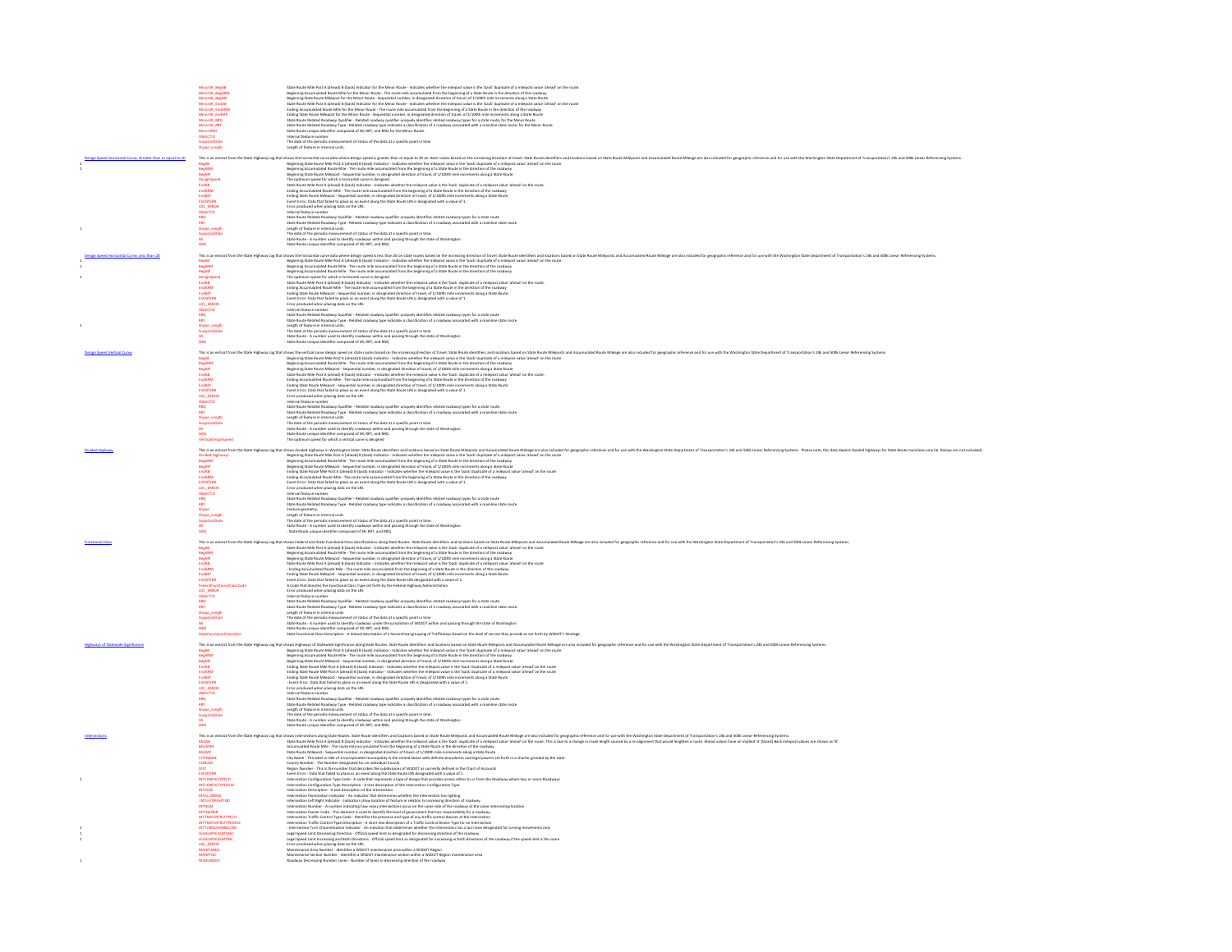| MinorSR_BegAB<br>MinorSR_BegARM<br>MinorSR_BegMP<br>MinorSR_EndABM<br>MinorSR_EndABM<br>MinorSR_EndABM                                                                                                                                                  | Stark for the Norder Danks Mass that the Mark force, in this case when the minimum changes that the minimum conduction of the minimum conduction of the minimum force of the minimum force of the minimum force of the minimu           |
|---------------------------------------------------------------------------------------------------------------------------------------------------------------------------------------------------------------------------------------------------------|-----------------------------------------------------------------------------------------------------------------------------------------------------------------------------------------------------------------------------------------|
|                                                                                                                                                                                                                                                         |                                                                                                                                                                                                                                         |
|                                                                                                                                                                                                                                                         |                                                                                                                                                                                                                                         |
|                                                                                                                                                                                                                                                         |                                                                                                                                                                                                                                         |
| MinorSR_EndMI                                                                                                                                                                                                                                           |                                                                                                                                                                                                                                         |
| MinorSR_RRC<br>MinorSR_RRT                                                                                                                                                                                                                              |                                                                                                                                                                                                                                         |
| MinorSRID                                                                                                                                                                                                                                               |                                                                                                                                                                                                                                         |
| OBJECTID                                                                                                                                                                                                                                                | Internal feature number<br>The date of the periodic measurement of status of the data at a specific point in time                                                                                                                       |
| Shape Length                                                                                                                                                                                                                                            | Length of feature in internal units                                                                                                                                                                                                     |
| This is an extract f                                                                                                                                                                                                                                    |                                                                                                                                                                                                                                         |
|                                                                                                                                                                                                                                                         |                                                                                                                                                                                                                                         |
|                                                                                                                                                                                                                                                         |                                                                                                                                                                                                                                         |
|                                                                                                                                                                                                                                                         |                                                                                                                                                                                                                                         |
|                                                                                                                                                                                                                                                         |                                                                                                                                                                                                                                         |
| This is an extra<br>BegAB<br>BegARM<br>DesignSpeed<br>EndABM<br>EndABM<br>EndABM<br>ENTERR<br>COC_ERROR<br>COC_ERROR<br>COC_ERROR<br>COC_ERROR                                                                                                          | hem the State Highest the theoretical and the company that the result of the company of the interview of the first of the first of the company of the company of the company of the company of the company of the company of t          |
|                                                                                                                                                                                                                                                         |                                                                                                                                                                                                                                         |
| OBJECTID                                                                                                                                                                                                                                                | Internal feature number                                                                                                                                                                                                                 |
| RRQ<br>RRT                                                                                                                                                                                                                                              | mumma wature number<br>State Route Related Roadway Qualifier - Related roadway qualifier uniquely identifies related roadway types for a state route<br>State Route Related Roadway Type - Related roadway type indicates a classifi    |
| Shape Length                                                                                                                                                                                                                                            | Length of feature in internal units.                                                                                                                                                                                                    |
|                                                                                                                                                                                                                                                         | The date of the periodic measurement of status of the data at a specific point in time.                                                                                                                                                 |
| SRID                                                                                                                                                                                                                                                    | rme uses or two persons: measurements or sauso or twe cata at a spectric point in time.<br>State Route - A number used to identify roadways within and passing through the state of Washington.<br>State Route unique identifier com    |
|                                                                                                                                                                                                                                                         |                                                                                                                                                                                                                                         |
|                                                                                                                                                                                                                                                         | This in eduction the State of the theoretic one of the controller in the State of the State of the State of the State and the State and the State of State of the State of State Mergetic and the State of the State of the St          |
|                                                                                                                                                                                                                                                         |                                                                                                                                                                                                                                         |
|                                                                                                                                                                                                                                                         |                                                                                                                                                                                                                                         |
|                                                                                                                                                                                                                                                         |                                                                                                                                                                                                                                         |
| EndARM<br>EndMP                                                                                                                                                                                                                                         | Ending Accumulated Route Mile - The route mile accumulated from the beginning of a State Route in the direction of the roadway<br>Ending State Route Mileport - Sequential number, in designated direction of travel, of 1/200th        |
| <b>EVENTERR</b>                                                                                                                                                                                                                                         |                                                                                                                                                                                                                                         |
| LOC ERROR<br>OBJECTID                                                                                                                                                                                                                                   | Error produced when placing data on the LRS<br>Internal feature number                                                                                                                                                                  |
| <b>RRQ</b><br>RRT                                                                                                                                                                                                                                       | State Route Related Roadway Qualifier - Related roadway qualifier uniquely identifies related roadway types for a state route                                                                                                           |
| Shape Length                                                                                                                                                                                                                                            | State Route Related Roadway Type - Related roadway type indicates a classification of a roadway associated with a mainline state route<br>Length of feature in internal units.                                                          |
|                                                                                                                                                                                                                                                         | ampuru armanum un musulm.<br>The date of the periodic measurement of status of the data at a specific point in time<br>State Route - A number used to identify roadways within and passing through the state of Washington<br>State Rou |
| SRID                                                                                                                                                                                                                                                    |                                                                                                                                                                                                                                         |
|                                                                                                                                                                                                                                                         |                                                                                                                                                                                                                                         |
|                                                                                                                                                                                                                                                         |                                                                                                                                                                                                                                         |
|                                                                                                                                                                                                                                                         |                                                                                                                                                                                                                                         |
|                                                                                                                                                                                                                                                         |                                                                                                                                                                                                                                         |
| BegAB<br>BegARM<br>BegARM<br>EndAB<br>EndARM<br>EndARM<br>EVENTERR                                                                                                                                                                                      | This in etract on the State inject of the the charge of the companies in the incredig distinct for the local of the charge in the local of the charge in the charge of the state flow of the charge of the charge of the charg          |
|                                                                                                                                                                                                                                                         | Ending State Route Milepost - Sequential number, in designated direction of travel, of 1/100th mile increments along a State Route                                                                                                      |
|                                                                                                                                                                                                                                                         | Event Error. Data that failed to place as an event along the State Route LRS is designated with a value of 1<br>Error produced when placing data on the LRS                                                                             |
| LOC_ERROR<br>OBJECTID                                                                                                                                                                                                                                   | Internal feature number                                                                                                                                                                                                                 |
| <b>RRQ</b><br>RRT                                                                                                                                                                                                                                       | mumma waurur numma.<br>State Route Related Roadway Qualifier - Related roadway qualifier uniquely identifies related roadway types for a state route.<br>State Route Related Roadway Type - Related roadway type indicates a classif    |
| Shape Length                                                                                                                                                                                                                                            |                                                                                                                                                                                                                                         |
|                                                                                                                                                                                                                                                         | Jistia Roude Mariako Holakoir Yuse - Malakel roadway tvee instraks a classification of a readway assoc<br>Leeigh of Feature in Internal units<br>The dibite of the periodic measurement of status of the data at a specific propi in    |
|                                                                                                                                                                                                                                                         |                                                                                                                                                                                                                                         |
|                                                                                                                                                                                                                                                         |                                                                                                                                                                                                                                         |
|                                                                                                                                                                                                                                                         | This is netraction the State Hybray is given the distribution of the Western Market in the Market State book Market and the Market Market of the Market of the Western Market Market Market Market Market Market Market Market          |
|                                                                                                                                                                                                                                                         |                                                                                                                                                                                                                                         |
| BegMP<br>EndAB                                                                                                                                                                                                                                          | Beginning State Route Milepost - Sequential number, in designated direction of travel, of 1/100th mile increments along a State Route<br>Ending State Route Mile Post A (ahead) B (back) Indicator - Indicates whether the milepo       |
| <b>EndARM</b>                                                                                                                                                                                                                                           | Ending Accumulated Route Mile - The route mile accumulated from the beginning of a State Route in the direction of the roadway                                                                                                          |
| <b>EVENTERR</b>                                                                                                                                                                                                                                         | Event Error. Data that failed to place as an event along the State Route LRS is designated with a value of 1.                                                                                                                           |
| LOC ERROR                                                                                                                                                                                                                                               | Error produced when placing data on the LRS<br>Internal feature number                                                                                                                                                                  |
| OBJECTID<br>RRQ<br>RRT                                                                                                                                                                                                                                  | State Route Related Roadway Qualifier - Related roadway qualifier uniquely identifies related roadway types for a state route                                                                                                           |
|                                                                                                                                                                                                                                                         | State Route Related Roadway Type - Related roadway type indicates a classification of a roadway associated with a mainline state route                                                                                                  |
| nn<br>Shape<br>Shape_Length<br>SnapshotDate<br>--                                                                                                                                                                                                       |                                                                                                                                                                                                                                         |
|                                                                                                                                                                                                                                                         |                                                                                                                                                                                                                                         |
| SRID<br>SRID                                                                                                                                                                                                                                            | State Roule Realiston Roadway Type - Middel roadway type indicates a classification of a readway assoc<br>Teature geometry.<br>Liesph of feature in internal units<br>The date of the periodic measurement of status of the data at a s |
|                                                                                                                                                                                                                                                         | This is an extract from the State Highway Log that shows Federal and State Functional Class classifications along State Moutes. State Boute identifiers and locations based on State Route Mileposts and Accumulated Route Mil          |
|                                                                                                                                                                                                                                                         |                                                                                                                                                                                                                                         |
|                                                                                                                                                                                                                                                         | State Route Mile Post A (ahead) B (back) Indicator - Indicates whether the milepost value is the 'back' duplicate of a milepost value 'ahead' on the route<br>Beginning Accumulated Route Mile - The route mile accumulated from        |
| BegAB<br>BegARM<br>BegMP<br>EndARM<br>EndARM<br>EndMP                                                                                                                                                                                                   | Beginnig Stale Route Mispost. Sepuettal number, in designated direction of translict 17,000m mis processors along a Stale Route<br>State Route Mak Post A (alease) B (back) Indicator - indicates whether the milepost value is t       |
|                                                                                                                                                                                                                                                         |                                                                                                                                                                                                                                         |
| <b>PUFNTERR</b>                                                                                                                                                                                                                                         |                                                                                                                                                                                                                                         |
|                                                                                                                                                                                                                                                         | statement most memporar-sequence moment in temperature contractor to convert or a society for the Contract of the Second US of the Contract of the Contract of the Contract of the Contract of the Contract of the Contract of          |
| LOC_ERROR<br>OBJECTID                                                                                                                                                                                                                                   |                                                                                                                                                                                                                                         |
|                                                                                                                                                                                                                                                         | mema wadare trantner<br>State Route Raintel Roadway Qualifier - Related roadway qualifier uniquely identifies related roadway types for a state route.<br>State Route Raintel Roadway Type - Related roadway type indicates a classi    |
| <br>Shape_Length                                                                                                                                                                                                                                        |                                                                                                                                                                                                                                         |
| SnapshotDate                                                                                                                                                                                                                                            | umgint walken minutunun.<br>State Marke will minutur seart of Dik Mit Mid-State Service parties and passing through the state of Washington<br>State Marke - A number und to dently roadering wider the principan of W2OCI within an    |
|                                                                                                                                                                                                                                                         |                                                                                                                                                                                                                                         |
|                                                                                                                                                                                                                                                         |                                                                                                                                                                                                                                         |
|                                                                                                                                                                                                                                                         | This is an extract from the State Highway Log that shows Highways of Statewide Significance along State Routes. State Routes State Routes State Routes State Routes State Routes based on State Route Milegosts and Accumulate          |
| BegAB                                                                                                                                                                                                                                                   | Beginning State Route Mile Post A (ahead) B (back) Indicator - Indicates whether the milepost value is the 'back' duplicate of a milepost value 'ahead' on the route                                                                    |
| BegAB<br>BegARM<br>BegAMP<br>EndARM<br>EndARM<br>ENECTID<br>RECTID<br>RECTID<br>RECTID<br>RECTID<br>RECTID<br>RECTID<br>RECTID                                                                                                                          | Regiming Accumulated Rocke Alls The roote mids accumulated from the Square of State Book in the direction of the coaterapy of the Square Department of the Contemporary of the Contemporary of the Contemporary of the Contemp          |
|                                                                                                                                                                                                                                                         |                                                                                                                                                                                                                                         |
|                                                                                                                                                                                                                                                         |                                                                                                                                                                                                                                         |
|                                                                                                                                                                                                                                                         |                                                                                                                                                                                                                                         |
|                                                                                                                                                                                                                                                         |                                                                                                                                                                                                                                         |
|                                                                                                                                                                                                                                                         |                                                                                                                                                                                                                                         |
|                                                                                                                                                                                                                                                         |                                                                                                                                                                                                                                         |
| Shape_Length<br>SnapshotDate                                                                                                                                                                                                                            |                                                                                                                                                                                                                                         |
| SR<br>Srid                                                                                                                                                                                                                                              | Ending Stars have been A photos) (Back) interded to choose and<br>the first particular stars and the control of the control of the control of the<br>stars of the control of the control of the control of the control of the<br>contr  |
|                                                                                                                                                                                                                                                         |                                                                                                                                                                                                                                         |
|                                                                                                                                                                                                                                                         | This is an extract from the State Highway Log that shows intersections abong State Routes. State Route is fate Route information and seculos has east on State Route Meleposts and Accumulated Route Mileage are also included          |
| <b>BEGAB<br/>BEGARM<br/>BEGMP</b>                                                                                                                                                                                                                       | Sate Noote Mie Patt A (sheel) in Black) infollow - Indiank wether the migracy what is back deplaced at a migracy what are not the mode. This is do the in a change in context head for a religions that would help for a state          |
| CITYNAME                                                                                                                                                                                                                                                | City Name - The label or title of a incorporated municipality in the United States with definite boundaries and legal powers set forth in a charter granted by the state                                                                |
| CONUM<br>DIST                                                                                                                                                                                                                                           | County Number - The Number designated for an individual County<br>Region Number - This is the number that describes the subdivisions of WSDOT as currently defined in the Chart of Accounts                                             |
| EVENTERR                                                                                                                                                                                                                                                |                                                                                                                                                                                                                                         |
|                                                                                                                                                                                                                                                         | Napo Number - This is the author that describes the substituted of WDOT is converty defined in the Chart of Accounts for<br>these firsts of the first product in the control of the state of the state of the state of the state        |
|                                                                                                                                                                                                                                                         |                                                                                                                                                                                                                                         |
|                                                                                                                                                                                                                                                         |                                                                                                                                                                                                                                         |
|                                                                                                                                                                                                                                                         |                                                                                                                                                                                                                                         |
|                                                                                                                                                                                                                                                         |                                                                                                                                                                                                                                         |
|                                                                                                                                                                                                                                                         | Intersection Traffic Control Type Code - Identifies the presence and type of any traffic control devices at the intersection<br>Intersection Traffic Control Type Description - A short text description of a Traffic Control Dev       |
|                                                                                                                                                                                                                                                         |                                                                                                                                                                                                                                         |
|                                                                                                                                                                                                                                                         |                                                                                                                                                                                                                                         |
| EVENTER<br>INTCONFIGTYPECO<br>INTCONFIGTYPEOESC<br>INTCONFIGTYPEOESC<br>INTERFRIGHTIND<br>INTTRAFCNTRETYPEOE<br>INTTRAFCNTRETYPEOESC<br>INTTRAFCNTRETYPEOESC<br>INTTRAFCNTRETYPEOESC<br>INTTRAFCNTRETYPEOESC<br>INTTRAFCNTRETYPEOESC<br>LEGALSPEEDLMTDE | Legal Speed Limit Decreasing Direction - Official speed limit as designated for decreasing direction of the roadway                                                                                                                     |
| LEGALSPEEDLMTIN<br>LOC_ERROR                                                                                                                                                                                                                            | Legal Speed Limit Increasing and Both Directions - Official speed limit as designated for increasing or both directions of the roadway if the speed limit is the same<br>Error produced when placing data on the LRS.                   |
| MAINTAREA                                                                                                                                                                                                                                               | Maintenance Area Number - Identifies a WSDOT maintenance area within a WSDOT Region                                                                                                                                                     |
| MAINTSEC<br><b>NUMLNSDEC</b>                                                                                                                                                                                                                            | Maintenance Section Number - Identifies a WSDOT maintenance section within a WSDOT Region maintenance area<br>Roadway Decreasing Number Lanes - Number of lanes in decreasing direction of the roadwa                                   |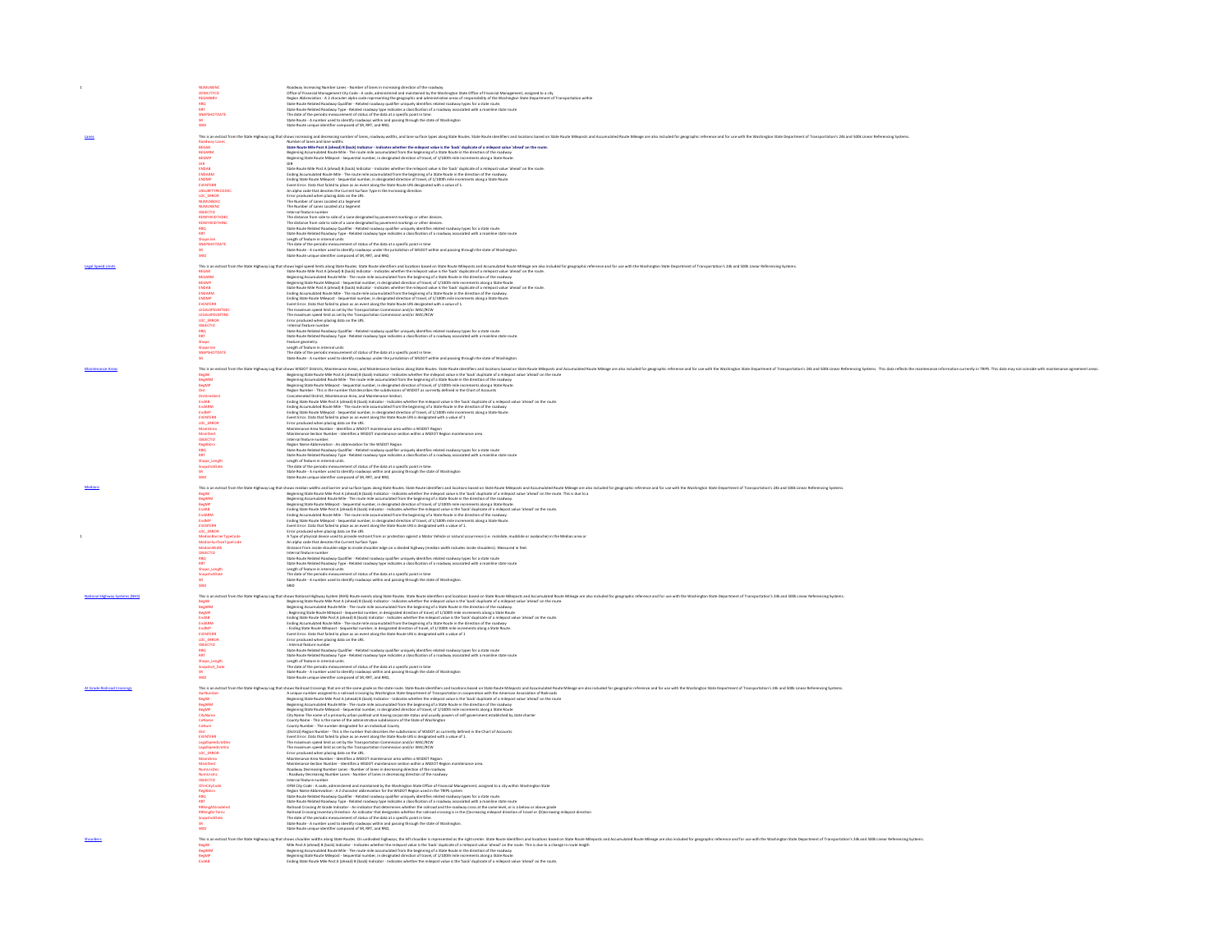|                                | <b>OFMCITYCD<br/>REGABBRY<br/>REGABBRY</b><br>RRQ<br>RRT                                                                                                                                                                                                                                      |                                                                                                                                                                                                                                                                                                                                                                                                                                                                       |  |  |
|--------------------------------|-----------------------------------------------------------------------------------------------------------------------------------------------------------------------------------------------------------------------------------------------------------------------------------------------|-----------------------------------------------------------------------------------------------------------------------------------------------------------------------------------------------------------------------------------------------------------------------------------------------------------------------------------------------------------------------------------------------------------------------------------------------------------------------|--|--|
|                                |                                                                                                                                                                                                                                                                                               |                                                                                                                                                                                                                                                                                                                                                                                                                                                                       |  |  |
|                                | SR<br>SRID                                                                                                                                                                                                                                                                                    | Readery increasing Number Lenes - Number of lanes in increasing direction of the readerary<br>and the state in the state of the state of the state of the state of the state of the state of the state of the<br>State Mount Indian                                                                                                                                                                                                                                   |  |  |
|                                |                                                                                                                                                                                                                                                                                               | This is an extract from the State Highway Log that shows increasing and decreasing number of lanes, roadway widths, and lane surface types along State Routes. State Routes State Routes State Routes State Routes State Route                                                                                                                                                                                                                                        |  |  |
|                                | <b>Roadway Lanes</b>                                                                                                                                                                                                                                                                          | Number of lanes and lane widths<br>State Route Mile Post A (ahead) 8 (back) Indicator - Indicates whether the milepost value is the "back" duplicate of a milepost value "ahead" on the route.                                                                                                                                                                                                                                                                        |  |  |
|                                | <b>BEGAB</b><br><b>BEGARM</b>                                                                                                                                                                                                                                                                 | Beginning Accumulated Route Mile - The route mile accumulated from the beginning of a State Route in the direction of the roadway<br>Beginning State Route Milepost - Sequential number, in designated direction of travel, of 1/                                                                                                                                                                                                                                     |  |  |
|                                |                                                                                                                                                                                                                                                                                               |                                                                                                                                                                                                                                                                                                                                                                                                                                                                       |  |  |
|                                |                                                                                                                                                                                                                                                                                               | State Route Mile Post A (ahead) B (back) Indicator - Indicates whether the milepost value is the 'back' duplicate of a milepost value 'ahead' on the route.<br>Ending Accumulated Route Mile - The route mile accumulated from the beginning of a State Route in the direction of the roadway                                                                                                                                                                         |  |  |
|                                |                                                                                                                                                                                                                                                                                               | Ending State Route Milegost - Sequential number, in designated direction of travel, of 1/100th mile increments along a State Route                                                                                                                                                                                                                                                                                                                                    |  |  |
|                                |                                                                                                                                                                                                                                                                                               | Event Error. Data that failed to place as an event along the State Route LRS designated with a value of 1.<br>An alpha code that denotes the Current Surface Type in the Increasing direction                                                                                                                                                                                                                                                                         |  |  |
|                                |                                                                                                                                                                                                                                                                                               |                                                                                                                                                                                                                                                                                                                                                                                                                                                                       |  |  |
|                                | BEGARM<br>DIR BROAD<br>DIR BROAD<br>BROAD<br>BROAD<br>DIR BROAD<br>MUMUNSING<br>OBECTID<br>ROADWYWIDTHIP<br>ROADWYWIDTHIP<br>ROADWYWIDTHIP<br>ROADWYWIDTHIP<br>ROADWYWIDTHIP<br>ROADWYWIDTHIP<br>ROADWYWIDTHIP<br>ROADWYWIDTHIP<br>ROADWYWIDTHIP                                              | An alpha code hat denotes the Current Striker Dye in the Interesting direction<br>The Archives of the place of the Striker Direct Striker Dye in the Interest of the Striker Direct Striker Direct<br>The Member of Current Current                                                                                                                                                                                                                                   |  |  |
|                                |                                                                                                                                                                                                                                                                                               |                                                                                                                                                                                                                                                                                                                                                                                                                                                                       |  |  |
|                                |                                                                                                                                                                                                                                                                                               |                                                                                                                                                                                                                                                                                                                                                                                                                                                                       |  |  |
|                                |                                                                                                                                                                                                                                                                                               |                                                                                                                                                                                                                                                                                                                                                                                                                                                                       |  |  |
|                                | Shape.len<br>SNAPSHOTDATE                                                                                                                                                                                                                                                                     | Length of feature in internal units<br>The date of the periodic measurement of status of the data at a specific point in time                                                                                                                                                                                                                                                                                                                                         |  |  |
|                                | SR<br>SRID                                                                                                                                                                                                                                                                                    | State Route - A number used to identify roadways under the jurisdiction of WSDOT within and passing through the state of Washington.<br>State Route unique identifier composed of SR, RRT, and RRQ                                                                                                                                                                                                                                                                    |  |  |
| <b>Legal Speed Limits</b>      |                                                                                                                                                                                                                                                                                               | This is an extract from the State Highway Log that shows legal speed limits along State Routes State Route identifiers and locations based on State Route Millege are also included for peopraphic reference and for use with                                                                                                                                                                                                                                         |  |  |
|                                | <b>BEGAB<br/>BEGARM<br/>BEGMP</b>                                                                                                                                                                                                                                                             | State Route Mile Post A (alead) B (back) Indicator - indicates whether the milepost value is the 'back' duplicate of a milepost value 'annual on the route.<br>Beginning Accumulated Route Mile - The route mile accumulated from                                                                                                                                                                                                                                     |  |  |
|                                |                                                                                                                                                                                                                                                                                               |                                                                                                                                                                                                                                                                                                                                                                                                                                                                       |  |  |
|                                | <b>BEGMP<br/>ENDARM</b><br>ENDARM<br>ENDARM<br>ENDARM<br>EGALSPDLMTRIC<br>LEGALSPDLMTRIC<br>OBECTID<br>SRAQ<br>SRAP<br>SPAPR<br>SPAPR                                                                                                                                                         | Beginning State Roots Malaport. Sequentials munitipal methods and the translation for its leading and the State Roots Counter the State Roots of the State Roots and the State Roots of the State Roots of the State Roots of                                                                                                                                                                                                                                         |  |  |
|                                |                                                                                                                                                                                                                                                                                               |                                                                                                                                                                                                                                                                                                                                                                                                                                                                       |  |  |
|                                |                                                                                                                                                                                                                                                                                               |                                                                                                                                                                                                                                                                                                                                                                                                                                                                       |  |  |
|                                |                                                                                                                                                                                                                                                                                               |                                                                                                                                                                                                                                                                                                                                                                                                                                                                       |  |  |
|                                |                                                                                                                                                                                                                                                                                               |                                                                                                                                                                                                                                                                                                                                                                                                                                                                       |  |  |
|                                |                                                                                                                                                                                                                                                                                               |                                                                                                                                                                                                                                                                                                                                                                                                                                                                       |  |  |
|                                | Shape.len<br>SNAPSHOTDATE<br>SR                                                                                                                                                                                                                                                               | reason's gourneurs.<br>The date of the periodic measurement of status of the data at a specific point in time.<br>The date of the periodic measurement of status of the data at a specific point in time.<br>State floute - A number us                                                                                                                                                                                                                               |  |  |
|                                |                                                                                                                                                                                                                                                                                               |                                                                                                                                                                                                                                                                                                                                                                                                                                                                       |  |  |
|                                |                                                                                                                                                                                                                                                                                               | This is an extract from the State Highway Log that show WSDOT Districts, Mantenance Areas, and Maintenance Sections along State Rouses - State of Notions todo on State Rouse State Rouse is state Rouse is and Accumulated Ro                                                                                                                                                                                                                                        |  |  |
|                                | BegAB<br>BegARM                                                                                                                                                                                                                                                                               | Beginning State Route Mile Post A (ahead) B (back) Indicator - Indicates whether the milepost value is the 'back' duplicate of a milepost value 'ahead' on the route<br>Beginning Accumulated Route Mile - The route mile accumul                                                                                                                                                                                                                                     |  |  |
|                                |                                                                                                                                                                                                                                                                                               | Beginning State Route Milepost - Sequential number, in designated direction of travel, of 1/100th mile increments along a State Route.<br>Region Number - This is the number that describes the subdivisions of WSDOT as currentl                                                                                                                                                                                                                                     |  |  |
|                                |                                                                                                                                                                                                                                                                                               | Concatenated District, Maintenance Area, and Maintenance Section.<br>Ending State Route Mile Post A (ahead) B (back) Indicator - Indicates whether the milepost value is the 'back' duplicate of a milepost value 'ahead' on the route.                                                                                                                                                                                                                               |  |  |
|                                |                                                                                                                                                                                                                                                                                               |                                                                                                                                                                                                                                                                                                                                                                                                                                                                       |  |  |
|                                |                                                                                                                                                                                                                                                                                               | Coung Jammus was vuon Vanhaup te passi nosaari voisaanse katoliikin parallelaan kansal van vuon vanhauto te mo<br>Ending Accountable Bostel Mile - The route mile accomulated from the beginning of a State Route in the directio                                                                                                                                                                                                                                     |  |  |
|                                |                                                                                                                                                                                                                                                                                               |                                                                                                                                                                                                                                                                                                                                                                                                                                                                       |  |  |
|                                | BegMP<br>Dist<br>DistAreaSect<br>CridAB<br>EndABM<br>EndABMP<br>ENDC_ERROR<br>MaintSect<br>OBJECTID<br>RegAbbry<br>RROR<br>RROR<br>RROR                                                                                                                                                       | Centificar Data that data by advance as meant a long the State Roster USS is designated with a value of 1<br>Force produced when placing data on the USSO massive assess when a NGSOT happen and and contact a state of the<br>Mate                                                                                                                                                                                                                                   |  |  |
|                                |                                                                                                                                                                                                                                                                                               |                                                                                                                                                                                                                                                                                                                                                                                                                                                                       |  |  |
|                                |                                                                                                                                                                                                                                                                                               |                                                                                                                                                                                                                                                                                                                                                                                                                                                                       |  |  |
|                                | Shape_Length<br>SnapshotDate                                                                                                                                                                                                                                                                  |                                                                                                                                                                                                                                                                                                                                                                                                                                                                       |  |  |
|                                | SR<br>SRID                                                                                                                                                                                                                                                                                    |                                                                                                                                                                                                                                                                                                                                                                                                                                                                       |  |  |
|                                |                                                                                                                                                                                                                                                                                               |                                                                                                                                                                                                                                                                                                                                                                                                                                                                       |  |  |
|                                |                                                                                                                                                                                                                                                                                               |                                                                                                                                                                                                                                                                                                                                                                                                                                                                       |  |  |
|                                |                                                                                                                                                                                                                                                                                               | This is an extract from the State Highway Log that shows median widths and barrier and surface types along State Routes identifiers and locations based on State Route hillegosts and Accumulated Route Milegost and arculated                                                                                                                                                                                                                                        |  |  |
|                                |                                                                                                                                                                                                                                                                                               |                                                                                                                                                                                                                                                                                                                                                                                                                                                                       |  |  |
|                                |                                                                                                                                                                                                                                                                                               |                                                                                                                                                                                                                                                                                                                                                                                                                                                                       |  |  |
|                                |                                                                                                                                                                                                                                                                                               |                                                                                                                                                                                                                                                                                                                                                                                                                                                                       |  |  |
|                                |                                                                                                                                                                                                                                                                                               |                                                                                                                                                                                                                                                                                                                                                                                                                                                                       |  |  |
|                                |                                                                                                                                                                                                                                                                                               | shown estima albumi estima forma policija Roma. Stan Roma alemante na localization albumi estima albumi estima<br>In provincia albumi estima albumi estima albumi estima albumi estima albumi estima albumi estima albumi estima                                                                                                                                                                                                                                      |  |  |
|                                |                                                                                                                                                                                                                                                                                               |                                                                                                                                                                                                                                                                                                                                                                                                                                                                       |  |  |
|                                | This is an extract from the<br>BegAB<br>BegABM<br>EndAB<br>EndABM<br>EndAMP<br>EndAMP<br>CrESOR<br>MedianSurfarTypeCode<br>MedianOarTeTypeCode<br>MedianOarTeTypeCode<br>MedianOarTypeCode<br>MedianOarTypeCode<br>OBECTID<br>OBECTID                                                         |                                                                                                                                                                                                                                                                                                                                                                                                                                                                       |  |  |
|                                | Shape_Length                                                                                                                                                                                                                                                                                  |                                                                                                                                                                                                                                                                                                                                                                                                                                                                       |  |  |
|                                | SnapshotDate                                                                                                                                                                                                                                                                                  | A Type of physical stores used to provide more particles or paints a Monte Vehicle or standard coursers is a modelist, madeling the standard model of the standard model of the standard model of the standard model of the st<br>State Route - A number used to identify roadways within and passing through the state of Washington                                                                                                                                 |  |  |
|                                | SR<br>SRID                                                                                                                                                                                                                                                                                    |                                                                                                                                                                                                                                                                                                                                                                                                                                                                       |  |  |
| National Highway Systems (NHS) |                                                                                                                                                                                                                                                                                               | This is an extract from the State Highway Log that shows National Highway System (NHS) Route events along State Routes: State Route islentifiers and locations based on State Route Mileagoa are also included Route Mileagoa                                                                                                                                                                                                                                         |  |  |
|                                |                                                                                                                                                                                                                                                                                               |                                                                                                                                                                                                                                                                                                                                                                                                                                                                       |  |  |
|                                |                                                                                                                                                                                                                                                                                               | Beginning State Route Mile Post A (ahead) B (back) Indicator-Indicates whether the milepost value is the 'back' duplicate of a milepost value 'ahead' on the route.<br>Beginning Accumulated Route Mile - The route mile accumula                                                                                                                                                                                                                                     |  |  |
|                                |                                                                                                                                                                                                                                                                                               | Finding State Route Mile Post A (almad) B (back) indicator - indicates whether the milegost value is the 'back' displicate of a milegost value 's the ad'<br>Ending Accomulated Route Mile - The route mile accumulated from the                                                                                                                                                                                                                                      |  |  |
|                                | min Bull<br>BugABM<br>BugARM<br>BudABM<br>EndARM<br>EndMP<br>EVENTERR                                                                                                                                                                                                                         | Event Error. Data that failed to place as an event along the State Route LRS is designated with a value of 1                                                                                                                                                                                                                                                                                                                                                          |  |  |
|                                |                                                                                                                                                                                                                                                                                               | Error produced when placing data on the LRS.<br>: Internal feature number                                                                                                                                                                                                                                                                                                                                                                                             |  |  |
|                                | LOC_ERROR<br>OBJECTID<br>RRQ<br>RRT                                                                                                                                                                                                                                                           |                                                                                                                                                                                                                                                                                                                                                                                                                                                                       |  |  |
|                                |                                                                                                                                                                                                                                                                                               |                                                                                                                                                                                                                                                                                                                                                                                                                                                                       |  |  |
|                                | SRID                                                                                                                                                                                                                                                                                          |                                                                                                                                                                                                                                                                                                                                                                                                                                                                       |  |  |
|                                |                                                                                                                                                                                                                                                                                               | : historial faster number<br>State finds the state final projection - finds of reading spatifier uniquely dentifies related nuclear types for a state route<br>State finds final projection - finds of makers and projection of cons                                                                                                                                                                                                                                  |  |  |
| At Grade Railroad Crossings    | <b>AarNumber</b>                                                                                                                                                                                                                                                                              | This is an extract from the State Highway Log that shows Railroad Crossings that are at the same grade as the state route. State Route identifiers and locations based on State Route Mileposts and Accum<br>ulated Route Mileage are also included for geographic reference and for use with the Washington State Department of Transportation's 24k and 500k Linear Referencing Systems.                                                                            |  |  |
|                                |                                                                                                                                                                                                                                                                                               |                                                                                                                                                                                                                                                                                                                                                                                                                                                                       |  |  |
|                                |                                                                                                                                                                                                                                                                                               | A unique munhar assignato as rainced rossing by Washington State Department of Transportation of the Americian Assistance of Marinah State Department of the United States and the United States and the United States and the                                                                                                                                                                                                                                        |  |  |
|                                |                                                                                                                                                                                                                                                                                               | City Name-The name of a primarily urban political unit having corporate status and usually powers of self-government established by state charter<br>County Name - This is the name of the administrative subdivisions of the Sta                                                                                                                                                                                                                                     |  |  |
|                                |                                                                                                                                                                                                                                                                                               | County Number - The number designated for an individual County<br>(District) Region Number - This is the number that describes the subdivisions of WSDOT as currently defined in the Chart of Accounts.                                                                                                                                                                                                                                                               |  |  |
|                                |                                                                                                                                                                                                                                                                                               |                                                                                                                                                                                                                                                                                                                                                                                                                                                                       |  |  |
|                                |                                                                                                                                                                                                                                                                                               | Even Error. Data that failed to place as an event along the State Route LRS is designated with a value of 1.<br>The maximum speed limit as set by the Transportation Commission and/or WAC/RXW<br>The maximum speed limit as set by                                                                                                                                                                                                                                   |  |  |
|                                |                                                                                                                                                                                                                                                                                               |                                                                                                                                                                                                                                                                                                                                                                                                                                                                       |  |  |
|                                |                                                                                                                                                                                                                                                                                               |                                                                                                                                                                                                                                                                                                                                                                                                                                                                       |  |  |
|                                |                                                                                                                                                                                                                                                                                               |                                                                                                                                                                                                                                                                                                                                                                                                                                                                       |  |  |
|                                |                                                                                                                                                                                                                                                                                               |                                                                                                                                                                                                                                                                                                                                                                                                                                                                       |  |  |
|                                |                                                                                                                                                                                                                                                                                               |                                                                                                                                                                                                                                                                                                                                                                                                                                                                       |  |  |
|                                | BegAB<br>MagABM<br>CoName<br>CoName<br>CoName<br>CoName<br>CoName<br>MagABpeedInstice<br>MagABpeedInstice<br>MamilraGe<br>MamilraGe<br>OBLECTID<br>Office/EMA<br>MamilraGe<br>MamilraGe<br>MamilraGe<br>MamilraGe<br>MamilraGe<br>MamilraGe<br>MagABpeedInstice<br>MagABpeedInstice<br>MagABp |                                                                                                                                                                                                                                                                                                                                                                                                                                                                       |  |  |
|                                | <b>RRXingDirTolny</b><br>SnapshotDate                                                                                                                                                                                                                                                         | The maximum specified as a the big The Transportation Commission and/or WAZOW<br>For producted when planning that the USS. The maximum specified as the specified as the specifical state of the specified as the specified as t<br>Railroad Crossing Inventory Direction-An indicator that designates whether the railroad crossing is in the (I)ncreasing milepost direction of travel or (D)ecreasing milepost direction<br>The date of the periodic measurement o |  |  |
|                                | <b>SRID</b>                                                                                                                                                                                                                                                                                   | State Route - A number used to identify roadways within and passing through the state of Washington<br>State Route unique identifier composed of SR, RRT, and RRQ.                                                                                                                                                                                                                                                                                                    |  |  |
|                                |                                                                                                                                                                                                                                                                                               | This is an extract from the State Halfway Loe that shows shoulder widths alone State Rounds Clear Manufale highways, the left shoulder is nearesented as the right connes State Round island contines based on State Round Mil                                                                                                                                                                                                                                        |  |  |
|                                |                                                                                                                                                                                                                                                                                               | Mile Post A (ahead) B (back) Indicator - Indicates whether the milepost value is the 'back' duplicate of a milepost value 'ahead' on the route. This is due to a change in route length                                                                                                                                                                                                                                                                               |  |  |
|                                |                                                                                                                                                                                                                                                                                               | men van remeal of betannisheart-measurementer winningen tender and was to possible to immples tender and the van remember of the standard and the standard and the standard measurement of the standard measurement of the sta                                                                                                                                                                                                                                        |  |  |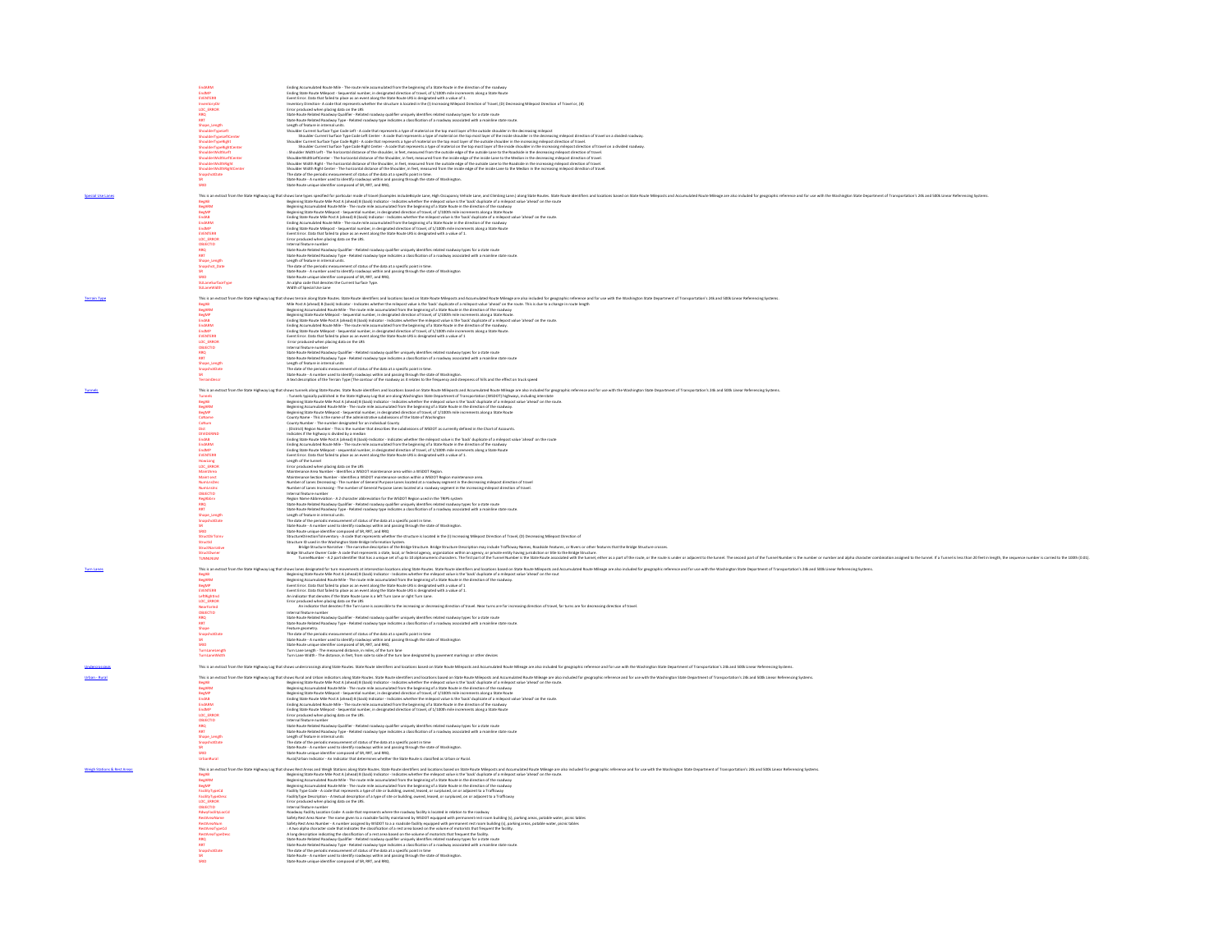|                                        | <b>EndARM</b>                                                                                                                                                                                                                                                                    | Fryling &<br>ated Route Mile - The route mile acc<br>mulated from the heel<br>ning of a State Route in the direction of the road<br>Ending State Route Milepost - Sequential number, in designated direction of travel, of 1/100th mile increments along a State Route  |
|----------------------------------------|----------------------------------------------------------------------------------------------------------------------------------------------------------------------------------------------------------------------------------------------------------------------------------|-------------------------------------------------------------------------------------------------------------------------------------------------------------------------------------------------------------------------------------------------------------------------|
|                                        | EndAM<br>EndAM<br>Common<br>Common<br>Loc_ENGR<br>Map<br>ShanderTypetaft<br>ShanderTypetaft<br>ShanderTypetaft<br>ShanderTypetaft<br>ShanderTypetaft<br>ShanderTypetaft<br>ShanderTypetaft<br>ShanderTypetaft<br>ShanderTypetaft                                                 | Endigitate Mission Stephenti mender, it desputes directed at the system of the state of the state delay and the state of the state of the state of the state of the state of the state of the state of the state of the state                                           |
|                                        |                                                                                                                                                                                                                                                                                  |                                                                                                                                                                                                                                                                         |
|                                        |                                                                                                                                                                                                                                                                                  |                                                                                                                                                                                                                                                                         |
|                                        |                                                                                                                                                                                                                                                                                  |                                                                                                                                                                                                                                                                         |
|                                        |                                                                                                                                                                                                                                                                                  |                                                                                                                                                                                                                                                                         |
|                                        |                                                                                                                                                                                                                                                                                  |                                                                                                                                                                                                                                                                         |
|                                        |                                                                                                                                                                                                                                                                                  |                                                                                                                                                                                                                                                                         |
|                                        |                                                                                                                                                                                                                                                                                  |                                                                                                                                                                                                                                                                         |
|                                        | ShoulderWidthLeft<br>ShoulderWidthLeftCenter                                                                                                                                                                                                                                     | Shoulder Width Left - The horizontal distance of the shoulder, in feet, measured from the outside edge of the outside Lane to the Roadside in the decreasing milepost direction of trave                                                                                |
|                                        | ShoulderWidthRight                                                                                                                                                                                                                                                               | ShoulderWidthLeftCenter - The horizontal distance of the Shoulder, in feet, measured from the inside edge of the inside Lane to the Median in the decreasing milepost direction of travel                                                                               |
|                                        | ShoulderWidthRightCente                                                                                                                                                                                                                                                          | Shoulder Width Right - The horizontal distance of the Shoulder, in feat, measured from the outside edge of the outside Lane to the Roadside in the increasing milepost direction of travel.<br>Shoulder Width Right Center - The                                        |
|                                        | SnapshotDate                                                                                                                                                                                                                                                                     | The date of the periodic measurement of status of the data at a specific point in time                                                                                                                                                                                  |
|                                        | SRID                                                                                                                                                                                                                                                                             | State Route - A number used to identify roadways within and passing through the state of Washington<br>State Route unique identifier composed of SR, RRT, and RRQ.                                                                                                      |
|                                        |                                                                                                                                                                                                                                                                                  | This in etra: for the State Hylesy (and into the internal in the state of the file in the state of the state of the state of the state of the state of the state of the state of the state of the state of the state of the st                                          |
|                                        |                                                                                                                                                                                                                                                                                  |                                                                                                                                                                                                                                                                         |
|                                        |                                                                                                                                                                                                                                                                                  |                                                                                                                                                                                                                                                                         |
|                                        |                                                                                                                                                                                                                                                                                  |                                                                                                                                                                                                                                                                         |
|                                        |                                                                                                                                                                                                                                                                                  |                                                                                                                                                                                                                                                                         |
|                                        |                                                                                                                                                                                                                                                                                  |                                                                                                                                                                                                                                                                         |
|                                        |                                                                                                                                                                                                                                                                                  |                                                                                                                                                                                                                                                                         |
|                                        |                                                                                                                                                                                                                                                                                  |                                                                                                                                                                                                                                                                         |
|                                        |                                                                                                                                                                                                                                                                                  |                                                                                                                                                                                                                                                                         |
|                                        | RRQ<br>RRT                                                                                                                                                                                                                                                                       | State Route Related Roadway Qualifier - Related roadway qualifier uniquely identifies related roadway types for a state route<br>State Route Related Roadway Type - Related roadway type indicates a classification of a roadway associated with a mainline state route |
|                                        | Shape Length                                                                                                                                                                                                                                                                     |                                                                                                                                                                                                                                                                         |
|                                        | Snapshot Date                                                                                                                                                                                                                                                                    | Length of feature in internal units.<br>The date of the periodic measurement of status of the data at a specific point in time.                                                                                                                                         |
|                                        |                                                                                                                                                                                                                                                                                  | State Route - A number used to identify roadways within and passing through the state of Washington                                                                                                                                                                     |
|                                        | SULaneSurfaceType                                                                                                                                                                                                                                                                | State Route unique identifier composed of SR, RRT, and RRQ.<br>An alpha code that denotes the Current Surface Type.                                                                                                                                                     |
|                                        | SULaneWidth                                                                                                                                                                                                                                                                      | Width of Special Use Lane                                                                                                                                                                                                                                               |
|                                        |                                                                                                                                                                                                                                                                                  | This is in extraction to State injuring that show here in the state is a state of the state in the Mayon and Accountable May are also charge an abit charge the case with the Wallega State Depends on the state of the state                                           |
|                                        |                                                                                                                                                                                                                                                                                  |                                                                                                                                                                                                                                                                         |
|                                        |                                                                                                                                                                                                                                                                                  |                                                                                                                                                                                                                                                                         |
|                                        |                                                                                                                                                                                                                                                                                  |                                                                                                                                                                                                                                                                         |
|                                        |                                                                                                                                                                                                                                                                                  |                                                                                                                                                                                                                                                                         |
|                                        |                                                                                                                                                                                                                                                                                  |                                                                                                                                                                                                                                                                         |
|                                        |                                                                                                                                                                                                                                                                                  |                                                                                                                                                                                                                                                                         |
|                                        |                                                                                                                                                                                                                                                                                  |                                                                                                                                                                                                                                                                         |
|                                        | OBJECTID                                                                                                                                                                                                                                                                         | Internal feature number<br>State Boute Related Roadway Qualifier - Related roadway qualifier uniquely identifies related roadway types for a state route<br>State Boute Related Roadway Tpas - Related roadway type indicates a clas                                    |
|                                        | RRQ<br>RRT                                                                                                                                                                                                                                                                       |                                                                                                                                                                                                                                                                         |
|                                        | Shape_Length                                                                                                                                                                                                                                                                     |                                                                                                                                                                                                                                                                         |
|                                        | SnapshotDate                                                                                                                                                                                                                                                                     | The date of the periodic measurement of status of the data at a specific point in time                                                                                                                                                                                  |
|                                        | TerrainDescr                                                                                                                                                                                                                                                                     | State Route - A number used to identify roadways within and passing through the state of Washington.<br>A text description of the Terrain Type (The contour of the roadway as it relates to the frequency and steepness of hills                                        |
|                                        |                                                                                                                                                                                                                                                                                  |                                                                                                                                                                                                                                                                         |
|                                        |                                                                                                                                                                                                                                                                                  | This is an extract from the State Highway Log that shows tunnels along State Routes. State Routes island or dietrifiers and locations based on State Route Mileposts and Accumulated Route Mileage are also included for geogr                                          |
|                                        |                                                                                                                                                                                                                                                                                  | : Tunnels typically published in the State Highway Log that are along Washington State Department of Transportation (WSDOT) highways, including interstate<br>Beginning State Route Mile Post A (ahead) B (back) Indicator - Indi                                       |
|                                        |                                                                                                                                                                                                                                                                                  |                                                                                                                                                                                                                                                                         |
|                                        |                                                                                                                                                                                                                                                                                  |                                                                                                                                                                                                                                                                         |
|                                        |                                                                                                                                                                                                                                                                                  |                                                                                                                                                                                                                                                                         |
|                                        |                                                                                                                                                                                                                                                                                  |                                                                                                                                                                                                                                                                         |
|                                        |                                                                                                                                                                                                                                                                                  |                                                                                                                                                                                                                                                                         |
|                                        |                                                                                                                                                                                                                                                                                  |                                                                                                                                                                                                                                                                         |
|                                        |                                                                                                                                                                                                                                                                                  |                                                                                                                                                                                                                                                                         |
|                                        | <b>BegAB</b><br>BegABM<br>CoName<br>CoNume<br>CoNUMBERING<br>EndABM<br>EndABM<br>PUNTERR<br>CVENTERR<br>CVENTERR<br>CVENTERR<br>CVENTERR<br>CVENTERR                                                                                                                             | Improves the four MIN-INA (A Deal of) and is leader to meet the entropy of a location of a location of a material control of the method of the method of a material control of the method of the method of the method of the                                            |
|                                        |                                                                                                                                                                                                                                                                                  | Length of the tunnel                                                                                                                                                                                                                                                    |
|                                        |                                                                                                                                                                                                                                                                                  | Error produced when placing data on the LRS                                                                                                                                                                                                                             |
|                                        | MaintArea<br>Maint sect                                                                                                                                                                                                                                                          | Maintenance Area Number - Identifies a WSDOT maintenance area within a WSDOT Region.<br>Maintenance Section Number - Identifies a WSDOT maintenance section within a WSDOT Region maintenance area.                                                                     |
|                                        |                                                                                                                                                                                                                                                                                  | Number of Lanes Decreasing - The number of General Purpose Lanes located at a roadway segment in the decreasing milepost direction of travel<br>Number of Lanes Increasing - The number of General Purpose Lanes located at a roa                                       |
|                                        |                                                                                                                                                                                                                                                                                  | Internal feature number                                                                                                                                                                                                                                                 |
|                                        |                                                                                                                                                                                                                                                                                  |                                                                                                                                                                                                                                                                         |
|                                        |                                                                                                                                                                                                                                                                                  | high Nane Abbreviato - A 2 Guardante Monteriors for the WOOD Region of the TRIPS ystem.<br>Star Route Maked Realery Qualifier - Retail condeny qualifie unturily detected maked spales payer for a state route<br>League of Nanet In                                    |
|                                        |                                                                                                                                                                                                                                                                                  |                                                                                                                                                                                                                                                                         |
|                                        |                                                                                                                                                                                                                                                                                  |                                                                                                                                                                                                                                                                         |
|                                        |                                                                                                                                                                                                                                                                                  |                                                                                                                                                                                                                                                                         |
|                                        |                                                                                                                                                                                                                                                                                  |                                                                                                                                                                                                                                                                         |
|                                        |                                                                                                                                                                                                                                                                                  |                                                                                                                                                                                                                                                                         |
|                                        |                                                                                                                                                                                                                                                                                  |                                                                                                                                                                                                                                                                         |
|                                        |                                                                                                                                                                                                                                                                                  |                                                                                                                                                                                                                                                                         |
|                                        | <b>TUNNLNUM</b>                                                                                                                                                                                                                                                                  |                                                                                                                                                                                                                                                                         |
|                                        |                                                                                                                                                                                                                                                                                  |                                                                                                                                                                                                                                                                         |
|                                        |                                                                                                                                                                                                                                                                                  | This in exact from the State Hylney (ag that the State State Internal and the Market State State State State State State State State State State State State State State State State State State State State State State State                                          |
|                                        | BegARM<br>BegMP<br>EVENTERR                                                                                                                                                                                                                                                      | Beginning Accumulated Route Mile - The route mile accumulated from the beginning of a State Route in the direction of the roadway.<br>Event Error. Data that failed to place as an event along the State Route LRS is designated                                        |
|                                        |                                                                                                                                                                                                                                                                                  | Event Error. Data that failed to place as an event along the State Route LRS is designated with a value of 1.                                                                                                                                                           |
|                                        | LeftRightInc                                                                                                                                                                                                                                                                     | An indicator that denotes if the State Route Lane is a left Turn Lane or right Turn Lane                                                                                                                                                                                |
|                                        | LOC_ERROR<br>NearFarInd<br>OBJECTID                                                                                                                                                                                                                                              | Error produced when placing data on the LRS<br>An indicator that denotes if the Turn Lane is accessible to the increasing or decreasing direction of travel. Near turns are for increasing direction of travel, far turns are for                                       |
|                                        |                                                                                                                                                                                                                                                                                  |                                                                                                                                                                                                                                                                         |
|                                        |                                                                                                                                                                                                                                                                                  | Internal feature number                                                                                                                                                                                                                                                 |
|                                        |                                                                                                                                                                                                                                                                                  | munum.<br>State Route Related Roadway Qualifier - Related roadway qualifier uniquely identifies related roadway types for a state rou<br>State Route Related Roadway Type - Related roadway type indicates a classification of a roa<br>h a mainline state route        |
|                                        |                                                                                                                                                                                                                                                                                  |                                                                                                                                                                                                                                                                         |
|                                        |                                                                                                                                                                                                                                                                                  |                                                                                                                                                                                                                                                                         |
|                                        |                                                                                                                                                                                                                                                                                  |                                                                                                                                                                                                                                                                         |
|                                        | urntanetength                                                                                                                                                                                                                                                                    | Feature generally, concerned interaction and the state and a state of the state of the state of the state of the periodic measurement of state of the activity interaction of the state of the periodic measurement of state a                                          |
|                                        |                                                                                                                                                                                                                                                                                  |                                                                                                                                                                                                                                                                         |
|                                        |                                                                                                                                                                                                                                                                                  | This is an extract from the State Highway Log that shows undercrossings along State Routes State Routes State Route identifiers and locations based on State Route Mileposts and Accumulated Route Mileage are also included f                                          |
|                                        |                                                                                                                                                                                                                                                                                  |                                                                                                                                                                                                                                                                         |
|                                        |                                                                                                                                                                                                                                                                                  | This is an extract from the State Highway Log that shows Rural and Urban indicators along State Routes. State Route identifiers and locations based on State Route and accumulated Route Misegare also induded for geographic                                           |
|                                        | BegAE<br>BegARM                                                                                                                                                                                                                                                                  | Beginning State Route Mile Post A (ahead) B (back) Indicator - Indicates whether the milepost value is the 'back' duplicate of a milepost value 'ahead' on the route.<br>Beginning Accumulated Route Mile - The route mile accumu                                       |
|                                        | BegMP<br>EndAB<br>EndARM                                                                                                                                                                                                                                                         | Beginning State Route Milepost - Separation under in designated direction of transformation compared and group<br>Enting State Route Mile Post A (absest) B (back) indicator - indicates whether the milepost when is the "archiv                                       |
|                                        |                                                                                                                                                                                                                                                                                  |                                                                                                                                                                                                                                                                         |
|                                        | EndMP                                                                                                                                                                                                                                                                            |                                                                                                                                                                                                                                                                         |
|                                        |                                                                                                                                                                                                                                                                                  |                                                                                                                                                                                                                                                                         |
|                                        |                                                                                                                                                                                                                                                                                  |                                                                                                                                                                                                                                                                         |
|                                        | LOC_ERROR<br>OBJECTID<br>RRQ<br>RRT                                                                                                                                                                                                                                              |                                                                                                                                                                                                                                                                         |
|                                        |                                                                                                                                                                                                                                                                                  |                                                                                                                                                                                                                                                                         |
|                                        | Shape_Length<br>SnapshotDate                                                                                                                                                                                                                                                     |                                                                                                                                                                                                                                                                         |
|                                        |                                                                                                                                                                                                                                                                                  |                                                                                                                                                                                                                                                                         |
|                                        | SRID<br>UrbanRural                                                                                                                                                                                                                                                               | Endig Stark Moto Mittey as - Separation rundeur, in designated direction of travel, of 1/2000s mile increments along a Stark Roote<br>Entre produced with a place of the stark of the stark of the stark of the stark of the sta                                        |
|                                        |                                                                                                                                                                                                                                                                                  |                                                                                                                                                                                                                                                                         |
| <b>Weigh Stations &amp; Rest Areas</b> |                                                                                                                                                                                                                                                                                  | This is an extract from the State Highway Log that shows Rest Areas and Weigh Stations along State Routes. State Routes Identifiers and locations based on State Route Mileposts and Accumulated Route Mileposts and Accumulat                                          |
|                                        |                                                                                                                                                                                                                                                                                  | Beginning State Route Mile Post A (alease) B (back) Indicator-Indicates whether the milepost value is the "back' duplicate of a milepost value "ahead" on the route.<br>Beginning Accumulated Route Mile - The route mile accumul                                       |
|                                        |                                                                                                                                                                                                                                                                                  |                                                                                                                                                                                                                                                                         |
|                                        |                                                                                                                                                                                                                                                                                  | Facility Type Code - A code that represents a type of site or building, owned, leased, or surplused, on or adiacent to a Trafficway                                                                                                                                     |
|                                        |                                                                                                                                                                                                                                                                                  | FacilityType Description - A textual description of a type of site or building, owned, leased, or surplused, on or adjacent to a Trafficway                                                                                                                             |
|                                        |                                                                                                                                                                                                                                                                                  | Error produced when placing data on the LRS.<br>nternal feature number                                                                                                                                                                                                  |
|                                        |                                                                                                                                                                                                                                                                                  |                                                                                                                                                                                                                                                                         |
|                                        |                                                                                                                                                                                                                                                                                  |                                                                                                                                                                                                                                                                         |
|                                        |                                                                                                                                                                                                                                                                                  |                                                                                                                                                                                                                                                                         |
|                                        |                                                                                                                                                                                                                                                                                  |                                                                                                                                                                                                                                                                         |
|                                        |                                                                                                                                                                                                                                                                                  |                                                                                                                                                                                                                                                                         |
|                                        | BegAB<br>BegABM<br>SegAM<br>FacilityTypeDe<br>FacilityTypeDeS<br>LOC_EROR<br>DESECTID<br>RestAreaNum<br>RestAreaNum<br>RestAreaNum<br>RestAreaNum<br>RestAreaNum<br>RestAreaNum<br>RestAreaNum<br>RestAreaNum<br>RestAreaNum<br>RestAreaNum<br>RestAreaNum<br>RestAreaNum<br>Res |                                                                                                                                                                                                                                                                         |
|                                        |                                                                                                                                                                                                                                                                                  |                                                                                                                                                                                                                                                                         |
|                                        |                                                                                                                                                                                                                                                                                  |                                                                                                                                                                                                                                                                         |
|                                        |                                                                                                                                                                                                                                                                                  |                                                                                                                                                                                                                                                                         |
|                                        |                                                                                                                                                                                                                                                                                  | Itematikal kan keumbahan Code A. code that represents where the nostleary facility is located in relation to the analogo plasting (s) parting away, plasting and the state of the control of the control of the control of th                                           |